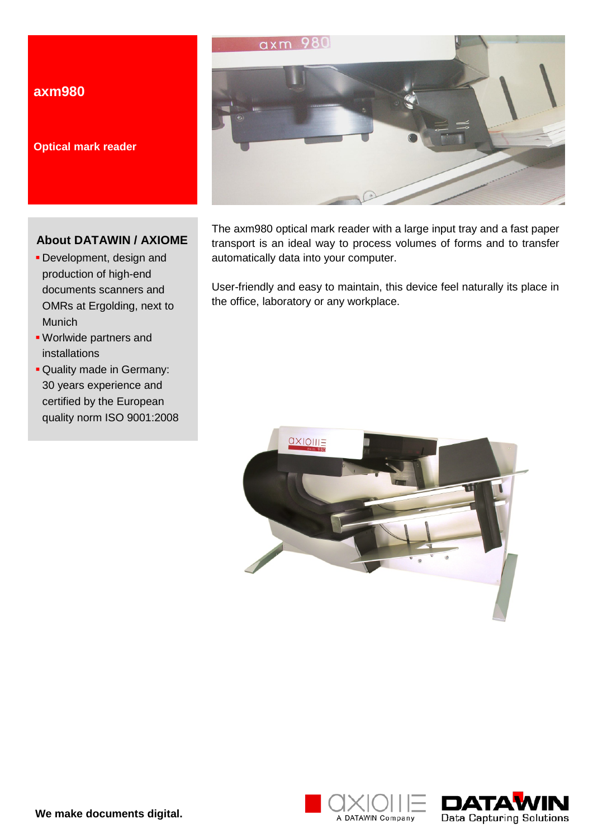# **axm980**

**Optical mark reader**

# **About DATAWIN / AXIOME**

- Development, design and production of high-end documents scanners and OMRs at Ergolding, next to Munich
- Worlwide partners and installations
- Quality made in Germany: 30 years experience and certified by the European quality norm ISO 9001:2008



The axm980 optical mark reader with a large input tray and a fast paper transport is an ideal way to process volumes of forms and to transfer automatically data into your computer.

User-friendly and easy to maintain, this device feel naturally its place in the office, laboratory or any workplace.